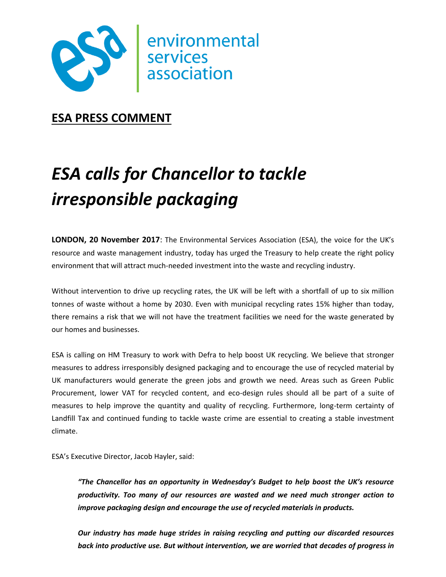

**ESA PRESS COMMENT**

# *ESA calls for Chancellor to tackle irresponsible packaging*

**LONDON, 20 November 2017**: The Environmental Services Association (ESA), the voice for the UK's resource and waste management industry, today has urged the Treasury to help create the right policy environment that will attract much-needed investment into the waste and recycling industry.

Without intervention to drive up recycling rates, the UK will be left with a shortfall of up to six million tonnes of waste without a home by 2030. Even with municipal recycling rates 15% higher than today, there remains a risk that we will not have the treatment facilities we need for the waste generated by our homes and businesses.

ESA is calling on HM Treasury to work with Defra to help boost UK recycling. We believe that stronger measures to address irresponsibly designed packaging and to encourage the use of recycled material by UK manufacturers would generate the green jobs and growth we need. Areas such as Green Public Procurement, lower VAT for recycled content, and eco-design rules should all be part of a suite of measures to help improve the quantity and quality of recycling. Furthermore, long-term certainty of Landfill Tax and continued funding to tackle waste crime are essential to creating a stable investment climate.

ESA's Executive Director, Jacob Hayler, said:

*"The Chancellor has an opportunity in Wednesday's Budget to help boost the UK's resource productivity. Too many of our resources are wasted and we need much stronger action to improve packaging design and encourage the use of recycled materials in products.* 

*Our industry has made huge strides in raising recycling and putting our discarded resources back into productive use. But without intervention, we are worried that decades of progress in*